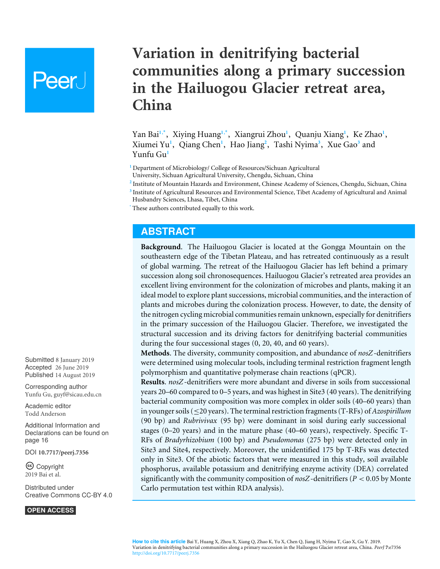# **Peer**

## **Variation in denitrifying bacterial communities along a primary succession in the Hailuogou Glacier retreat area, China**

<span id="page-0-14"></span><span id="page-0-13"></span><span id="page-0-12"></span><span id="page-0-11"></span><span id="page-0-10"></span><span id="page-0-9"></span><span id="page-0-8"></span><span id="page-0-7"></span><span id="page-0-6"></span><span id="page-0-5"></span><span id="page-0-4"></span>Yan Bai<sup>[1](#page-0-0),[\\*](#page-0-1)</sup>, Xiying Huang<sup>1,\*</sup>, Xiangrui Zhou<sup>1</sup>, Quanju Xiang<sup>1</sup>, Ke Zhao<sup>1</sup>, Xiumei Yu**[1](#page-0-0)** , Qiang Chen**[1](#page-0-0)** , Hao Jiang**[2](#page-0-2)** , Tashi Nyima**[3](#page-0-3)** , Xue Gao**[3](#page-0-3)** and Yunfu Gu**[1](#page-0-0)**

<span id="page-0-0"></span>**<sup>1</sup>** Department of Microbiology/ College of Resources/Sichuan Agricultural

University, Sichuan Agricultural University, Chengdu, Sichuan, China

<span id="page-0-2"></span>**2** Institute of Mountain Hazards and Environment, Chinese Academy of Sciences, Chengdu, Sichuan, China

<span id="page-0-3"></span>**3** Institute of Agricultural Resources and Environmental Science, Tibet Academy of Agricultural and Animal Husbandry Sciences, Lhasa, Tibet, China

<span id="page-0-1"></span>These authors contributed equally to this work.

## **ABSTRACT**

**Background**. The Hailuogou Glacier is located at the Gongga Mountain on the southeastern edge of the Tibetan Plateau, and has retreated continuously as a result of global warming. The retreat of the Hailuogou Glacier has left behind a primary succession along soil chronosequences. Hailuogou Glacier's retreated area provides an excellent living environment for the colonization of microbes and plants, making it an ideal model to explore plant successions, microbial communities, and the interaction of plants and microbes during the colonization process. However, to date, the density of the nitrogen cycling microbial communities remain unknown, especially for denitrifiers in the primary succession of the Hailuogou Glacier. Therefore, we investigated the structural succession and its driving factors for denitrifying bacterial communities during the four successional stages (0, 20, 40, and 60 years).

**Methods**. The diversity, community composition, and abundance of *nosZ*-denitrifiers were determined using molecular tools, including terminal restriction fragment length polymorphism and quantitative polymerase chain reactions (qPCR).

**Results**. *nosZ*-denitrifiers were more abundant and diverse in soils from successional years 20–60 compared to 0–5 years, and was highest in Site3 (40 years). The denitrifying bacterial community composition was more complex in older soils (40–60 years) than in younger soils (≤20 years). The terminal restriction fragments (T-RFs) of *Azospirillum* (90 bp) and *Rubrivivax* (95 bp) were dominant in soisl during early successional stages (0–20 years) and in the mature phase (40–60 years), respectively. Specific T-RFs of *Bradyrhizobium* (100 bp) and *Pseudomonas* (275 bp) were detected only in Site3 and Site4, respectively. Moreover, the unidentified 175 bp T-RFs was detected only in Site3. Of the abiotic factors that were measured in this study, soil available phosphorus, available potassium and denitrifying enzyme activity (DEA) correlated significantly with the community composition of  $nosZ$ -denitrifiers ( $P < 0.05$  by Monte Carlo permutation test within RDA analysis).

Submitted 8 January 2019 Accepted 26 June 2019 Published 14 August 2019

Corresponding author Yunfu Gu, [guyf@sicau.edu.cn](mailto:guyf@sicau.edu.cn)

[Academic editor](https://peerj.com/academic-boards/editors/) [Todd Anderson](https://peerj.com/academic-boards/editors/)

[Additional Information and](#page-15-0) [Declarations can be found on](#page-15-0) [page 16](#page-15-0)

DOI **[10.7717/peerj.7356](http://dx.doi.org/10.7717/peerj.7356)**

Copyright 2019 Bai et al.

[Distributed under](http://creativecommons.org/licenses/by/4.0/) [Creative Commons CC-BY 4.0](http://creativecommons.org/licenses/by/4.0/)

**OPEN ACCESS**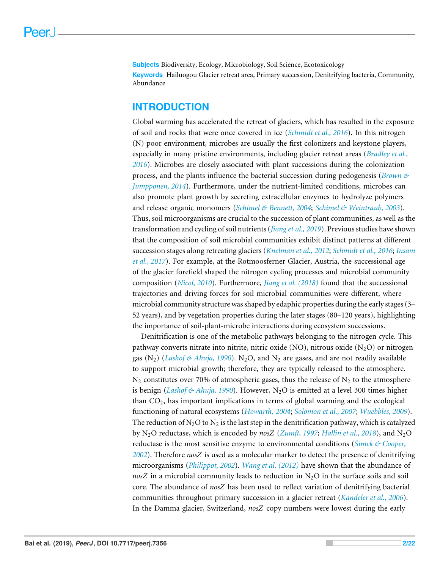**Subjects** Biodiversity, Ecology, Microbiology, Soil Science, Ecotoxicology **Keywords** Hailuogou Glacier retreat area, Primary succession, Denitrifying bacteria, Community, Abundance

## **INTRODUCTION**

Global warming has accelerated the retreat of glaciers, which has resulted in the exposure of soil and rocks that were once covered in ice (*[Schmidt et al., 2016](#page-19-0)*). In this nitrogen (N) poor environment, microbes are usually the first colonizers and keystone players, especially in many pristine environments, including glacier retreat areas (*[Bradley et al.,](#page-16-0) [2016](#page-16-0)*). Microbes are closely associated with plant successions during the colonization process, and the plants influence the bacterial succession during pedogenesis (*[Brown &](#page-16-1) [Jumpponen, 2014](#page-16-1)*). Furthermore, under the nutrient-limited conditions, microbes can also promote plant growth by secreting extracellular enzymes to hydrolyze polymers and release organic monomers (*[Schimel & Bennett, 2004](#page-19-1)*; *[Schimel & Weintraub, 2003](#page-19-2)*). Thus, soil microorganisms are crucial to the succession of plant communities, as well as the transformation and cycling of soil nutrients (*[Jiang et al., 2019](#page-17-0)*). Previous studies have shown that the composition of soil microbial communities exhibit distinct patterns at different succession stages along retreating glaciers (*[Knelman et al., 2012](#page-18-0)*; *[Schmidt et al., 2016](#page-19-0)*; *[Insam](#page-17-1) [et al., 2017](#page-17-1)*). For example, at the Rotmoosferner Glacier, Austria, the successional age of the glacier forefield shaped the nitrogen cycling processes and microbial community composition (*[Nicol, 2010](#page-19-3)*). Furthermore, *[Jiang et al. \(2018\)](#page-18-1)* found that the successional trajectories and driving forces for soil microbial communities were different, where microbial community structure was shaped by edaphic properties during the early stages (3– 52 years), and by vegetation properties during the later stages (80–120 years), highlighting the importance of soil-plant-microbe interactions during ecosystem successions.

Denitrification is one of the metabolic pathways belonging to the nitrogen cycle. This pathway converts nitrate into nitrite, nitric oxide (NO), nitrous oxide  $(N_2O)$  or nitrogen gas  $(N_2)$  (*[Lashof & Ahuja, 1990](#page-18-2)*). N<sub>2</sub>O, and N<sub>2</sub> are gases, and are not readily available to support microbial growth; therefore, they are typically released to the atmosphere.  $N_2$  constitutes over 70% of atmospheric gases, thus the release of  $N_2$  to the atmosphere is benign (*[Lashof & Ahuja, 1990](#page-18-2)*). However, N<sub>2</sub>O is emitted at a level 300 times higher than CO2, has important implications in terms of global warming and the ecological functioning of natural ecosystems (*[Howarth,](#page-17-2) [2004](#page-17-2)*; *[Solomon et al., 2007](#page-19-4)*; *[Wuebbles, 2009](#page-20-0)*). The reduction of  $N_2O$  to  $N_2$  is the last step in the denitrification pathway, which is catalyzed by N2O reductase, which is encoded by *nosZ* (*[Zumft, 1997](#page-21-0)*; *[Hallin et al., 2018](#page-17-3)*), and N2O reductase is the most sensitive enzyme to environmental conditions (*[Šimek & Cooper,](#page-19-5) [2002](#page-19-5)*). Therefore *nosZ* is used as a molecular marker to detect the presence of denitrifying microorganisms (*[Philippot, 2002](#page-19-6)*). *[Wang et al. \(2012\)](#page-20-1)* have shown that the abundance of  $nosZ$  in a microbial community leads to reduction in  $N_2O$  in the surface soils and soil core. The abundance of *nosZ* has been used to reflect variation of denitrifying bacterial communities throughout primary succession in a glacier retreat (*[Kandeler et al., 2006](#page-18-3)*). In the Damma glacier, Switzerland, *nosZ* copy numbers were lowest during the early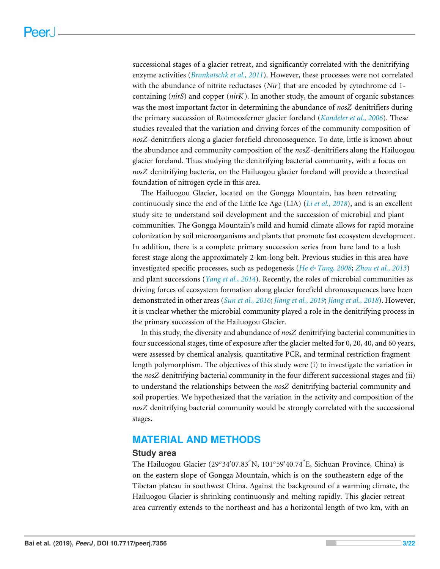successional stages of a glacier retreat, and significantly correlated with the denitrifying enzyme activities (*[Brankatschk et al., 2011](#page-16-2)*). However, these processes were not correlated with the abundance of nitrite reductases (*Nir*) that are encoded by cytochrome cd 1 containing (*nirS*) and copper (*nirK*). In another study, the amount of organic substances was the most important factor in determining the abundance of *nosZ* denitrifiers during the primary succession of Rotmoosferner glacier foreland (*[Kandeler et al., 2006](#page-18-3)*). These studies revealed that the variation and driving forces of the community composition of *nosZ*-denitrifiers along a glacier forefield chronosequence. To date, little is known about the abundance and community composition of the *nosZ*-denitrifiers along the Hailuogou glacier foreland. Thus studying the denitrifying bacterial community, with a focus on *nosZ* denitrifying bacteria, on the Hailuogou glacier foreland will provide a theoretical foundation of nitrogen cycle in this area.

The Hailuogou Glacier, located on the Gongga Mountain, has been retreating continuously since the end of the Little Ice Age (LIA) (*[Li et al., 2018](#page-18-4)*), and is an excellent study site to understand soil development and the succession of microbial and plant communities. The Gongga Mountain's mild and humid climate allows for rapid moraine colonization by soil microorganisms and plants that promote fast ecosystem development. In addition, there is a complete primary succession series from bare land to a lush forest stage along the approximately 2-km-long belt. Previous studies in this area have investigated specific processes, such as pedogenesis (*[He & Tang, 2008](#page-17-4)*; *[Zhou et al., 2013](#page-21-1)*) and plant successions (*[Yang et al., 2014](#page-20-2)*). Recently, the roles of microbial communities as driving forces of ecosystem formation along glacier forefield chronosequences have been demonstrated in other areas (*[Sun et al., 2016](#page-19-7)*; *[Jiang et al., 2019](#page-17-0)*; *[Jiang et al., 2018](#page-18-1)*). However, it is unclear whether the microbial community played a role in the denitrifying process in the primary succession of the Hailuogou Glacier.

In this study, the diversity and abundance of *nosZ* denitrifying bacterial communities in four successional stages, time of exposure after the glacier melted for 0, 20, 40, and 60 years, were assessed by chemical analysis, quantitative PCR, and terminal restriction fragment length polymorphism. The objectives of this study were (i) to investigate the variation in the *nosZ* denitrifying bacterial community in the four different successional stages and (ii) to understand the relationships between the *nosZ* denitrifying bacterial community and soil properties. We hypothesized that the variation in the activity and composition of the *nosZ* denitrifying bacterial community would be strongly correlated with the successional stages.

## **MATERIAL AND METHODS**

#### **Study area**

The Hailuogou Glacier (29°34′07.83<sup>″</sup>N, 101°59′40.74<sup>″</sup>E, Sichuan Province, China) is on the eastern slope of Gongga Mountain, which is on the southeastern edge of the Tibetan plateau in southwest China. Against the background of a warming climate, the Hailuogou Glacier is shrinking continuously and melting rapidly. This glacier retreat area currently extends to the northeast and has a horizontal length of two km, with an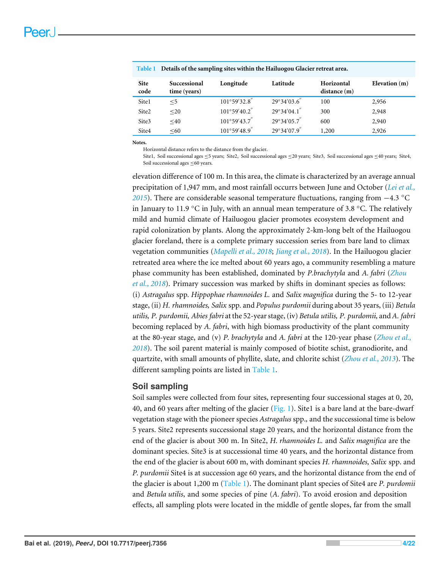<span id="page-3-0"></span>

|                     | Table 1 Details of the sampling sites within the Hailuogou Glacier retreat area. |                        |                       |                           |                 |  |  |
|---------------------|----------------------------------------------------------------------------------|------------------------|-----------------------|---------------------------|-----------------|--|--|
| <b>Site</b><br>code | Successional<br>time (years)                                                     | Longitude              | Latitude              | Horizontal<br>distance(m) | Elevation $(m)$ |  |  |
| Site1               | $<$ 5                                                                            | $101^{\circ}59'32.8$   | $29^{\circ}34'03.6''$ | 100                       | 2,956           |  |  |
| Site <sub>2</sub>   | $20$                                                                             | $101^{\circ}59'40.2''$ | $29^{\circ}34'04.1$ " | 300                       | 2,948           |  |  |
| Site3               | $<$ 40                                                                           | $101^{\circ}59'43.7''$ | $29^{\circ}34'05.7''$ | 600                       | 2,940           |  |  |
| Site4               | < 60                                                                             | $101^{\circ}59'48.9''$ | $29^{\circ}34'07.9''$ | 1,200                     | 2,926           |  |  |

**Notes.**

Horizontal distance refers to the distance from the glacier.

Site1, Soil successional ages ≤5 years; Site2, Soil successional ages ≤20 years; Site3, Soil successional ages ≤40 years; Site4, Soil successional ages ≤60 years.

elevation difference of 100 m. In this area, the climate is characterized by an average annual precipitation of 1,947 mm, and most rainfall occurrs between June and October (*[Lei et al.,](#page-18-5) [2015](#page-18-5)*). There are considerable seasonal temperature fluctuations, ranging from −4.3 °C in January to 11.9 °C in July, with an annual mean temperature of 3.8 °C. The relatively mild and humid climate of Hailuogou glacier promotes ecosystem development and rapid colonization by plants. Along the approximately 2-km-long belt of the Hailuogou glacier foreland, there is a complete primary succession series from bare land to climax vegetation communities (*[Mapelli et al., 2018](#page-18-6)*; *[Jiang et al., 2018](#page-18-1)*). In the Hailuogou glacier retreated area where the ice melted about 60 years ago, a community resembling a mature phase community has been established, dominated by *P.brachytyla* and *A. fabri* (*[Zhou](#page-21-2) [et al., 2018](#page-21-2)*). Primary succession was marked by shifts in dominant species as follows: (i) *Astragalus* spp*. Hippophae rhamnoides L.* and *Salix magnifica* during the 5- to 12-year stage, (ii) *H. rhamnoides, Salix* spp*.* and *Populus purdomii* during about 35 years, (iii) *Betula utilis, P. purdomii, Abies fabri* at the 52-year stage, (iv) *Betula utilis, P. purdomii,* and *A. fabri* becoming replaced by *A. fabri*, with high biomass productivity of the plant community at the 80-year stage, and (v) *P. brachytyla* and *A. fabri* at the 120-year phase (*[Zhou et al.,](#page-21-2) [2018](#page-21-2)*). The soil parent material is mainly composed of biotite schist, granodiorite, and quartzite, with small amounts of phyllite, slate, and chlorite schist (*[Zhou et al., 2013](#page-21-1)*). The different sampling points are listed in [Table 1.](#page-3-0)

## **Soil sampling**

Soil samples were collected from four sites, representing four successional stages at 0, 20, 40, and 60 years after melting of the glacier  $(Fig. 1)$ . Site1 is a bare land at the bare-dwarf vegetation stage with the pioneer species *Astragalus* spp.*,* and the successional time is below 5 years. Site2 represents successional stage 20 years, and the horizontal distance from the end of the glacier is about 300 m. In Site2, *H. rhamnoides L.* and *Salix magnifica* are the dominant species. Site3 is at successional time 40 years, and the horizontal distance from the end of the glacier is about 600 m, with dominant species *H. rhamnoides, Salix* spp. and *P. purdomii* Site4 is at succession age 60 years, and the horizontal distance from the end of the glacier is about 1,200 m [\(Table 1\)](#page-3-0). The dominant plant species of Site4 are *P. purdomii* and *Betula utilis*, and some species of pine (*A. fabri*). To avoid erosion and deposition effects, all sampling plots were located in the middle of gentle slopes, far from the small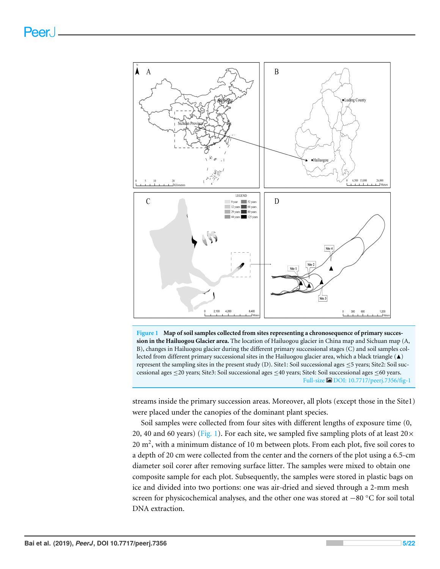<span id="page-4-0"></span>

**Figure 1 Map of soil samples collected from sites representing a chronosequence of primary succession in the Hailuogou Glacier area.** The location of Hailuogou glacier in China map and Sichuan map (A, B), changes in Hailuogou glacier during the different primary successional stages (C) and soil samples collected from different primary successional sites in the Hailuogou glacier area, which a black triangle (A) represent the sampling sites in the present study (D). Site1: Soil successional ages  $\leq$ 5 years; Site2: Soil successional ages ≤20 years; Site3: Soil successional ages ≤40 years; Site4: Soil successional ages ≤60 years. Full-size [DOI: 10.7717/peerj.7356/fig-1](https://doi.org/10.7717/peerj.7356/fig-1)

streams inside the primary succession areas. Moreover, all plots (except those in the Site1) were placed under the canopies of the dominant plant species.

Soil samples were collected from four sites with different lengths of exposure time (0, 20, 40 and 60 years) [\(Fig. 1\)](#page-4-0). For each site, we sampled five sampling plots of at least  $20\times$ 20  $\text{m}^2$ , with a minimum distance of 10 m between plots. From each plot, five soil cores to a depth of 20 cm were collected from the center and the corners of the plot using a 6.5-cm diameter soil corer after removing surface litter. The samples were mixed to obtain one composite sample for each plot. Subsequently, the samples were stored in plastic bags on ice and divided into two portions: one was air-dried and sieved through a 2-mm mesh screen for physicochemical analyses, and the other one was stored at −80 °C for soil total DNA extraction.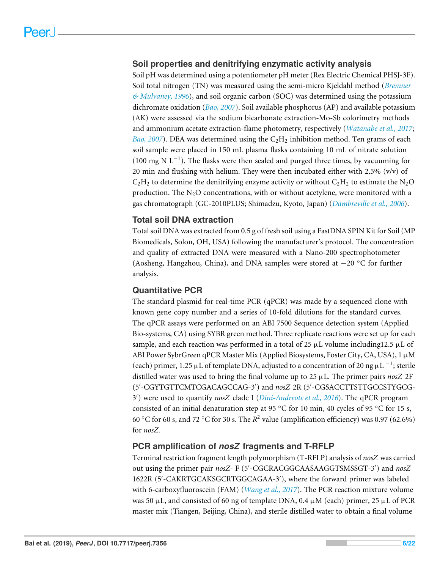## **Soil properties and denitrifying enzymatic activity analysis**

Soil pH was determined using a potentiometer pH meter (Rex Electric Chemical PHSJ-3F). Soil total nitrogen (TN) was measured using the semi-micro Kjeldahl method (*[Bremner](#page-16-3) [& Mulvaney, 1996](#page-16-3)*), and soil organic carbon (SOC) was determined using the potassium dichromate oxidation (*[Bao, 2007](#page-16-4)*). Soil available phosphorus (AP) and available potassium (AK) were assessed via the sodium bicarbonate extraction-Mo-Sb colorimetry methods and ammonium acetate extraction-flame photometry, respectively (*[Watanabe et al., 2017](#page-20-3)*; *[Bao, 2007](#page-16-4)*). DEA was determined using the  $C_2H_2$  inhibition method. Ten grams of each soil sample were placed in 150 mL plasma flasks containing 10 mL of nitrate solution (100 mg N L−<sup>1</sup> ). The flasks were then sealed and purged three times, by vacuuming for 20 min and flushing with helium. They were then incubated either with 2.5%  $(v/v)$  of  $C_2H_2$  to determine the denitrifying enzyme activity or without  $C_2H_2$  to estimate the N<sub>2</sub>O production. The  $N_2O$  concentrations, with or without acetylene, were monitored with a gas chromatograph (GC-2010PLUS; Shimadzu, Kyoto, Japan) (*[Dambreville et al., 2006](#page-16-5)*).

## **Total soil DNA extraction**

Total soil DNA was extracted from 0.5 g of fresh soil using a FastDNA SPIN Kit for Soil (MP Biomedicals, Solon, OH, USA) following the manufacturer's protocol. The concentration and quality of extracted DNA were measured with a Nano-200 spectrophotometer (Aosheng, Hangzhou, China), and DNA samples were stored at −20 ◦C for further analysis.

## **Quantitative PCR**

The standard plasmid for real-time PCR (qPCR) was made by a sequenced clone with known gene copy number and a series of 10-fold dilutions for the standard curves. The qPCR assays were performed on an ABI 7500 Sequence detection system (Applied Bio-systems, CA) using SYBR green method. Three replicate reactions were set up for each sample, and each reaction was performed in a total of 25  $\mu$ L volume including12.5  $\mu$ L of ABI Power SybrGreen qPCR Master Mix (Applied Biosystems, Foster City, CA, USA), 1 µM (each) primer, 1.25 µL of template DNA, adjusted to a concentration of 20 ng  $\mu$ L <sup>-1</sup>; sterile distilled water was used to bring the final volume up to  $25 \mu L$ . The primer pairs *nosZ* 2F (5'-CGYTGTTCMTCGACAGCCAG-3') and *nosZ* 2R (5'-CGSACCTTSTTGCCSTYGCG-3 0 ) were used to quantify *nosZ* clade I (*[Dini-Andreote et al., 2016](#page-17-5)*). The qPCR program consisted of an initial denaturation step at 95 ◦C for 10 min, 40 cycles of 95 ◦C for 15 s, 60 °C for 60 s, and 72 °C for 30 s. The  $R^2$  value (amplification efficiency) was 0.97 (62.6%) for *nosZ*.

## **PCR amplification of** *nosZ* **fragments and T-RFLP**

Terminal restriction fragment length polymorphism (T-RFLP) analysis of *nosZ* was carried out using the primer pair  $nosZ$ - F (5'-CGCRACGGCAASAAGGTSMSSGT-3') and  $nosZ$ 1622R (5'-CAKRTGCAKSGCRTGGCAGAA-3'), where the forward primer was labeled with 6-carboxyfluoroscein (FAM) (*[Wang et al., 2017](#page-20-4)*). The PCR reaction mixture volume was 50  $\mu$ L, and consisted of 60 ng of template DNA, 0.4  $\mu$ M (each) primer, 25  $\mu$ L of PCR master mix (Tiangen, Beijing, China), and sterile distilled water to obtain a final volume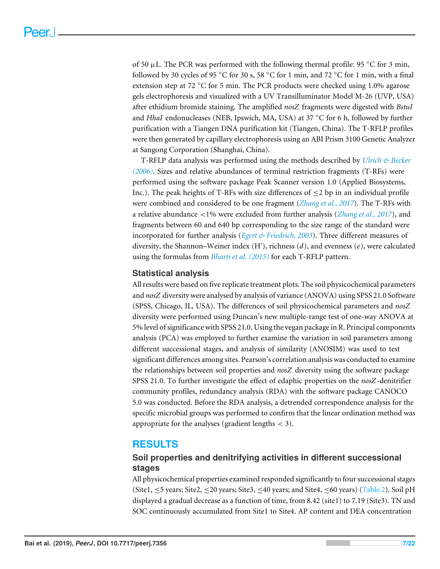of 50  $\mu$ L. The PCR was performed with the following thermal profile: 95 °C for 3 min, followed by 30 cycles of 95 °C for 30 s, 58 °C for 1 min, and 72 °C for 1 min, with a final extension step at 72 °C for 5 min. The PCR products were checked using 1.0% agarose gels electrophoresis and visualized with a UV Transilluminator Model M-26 (UVP, USA) after ethidium bromide staining. The amplified *nosZ* fragments were digested with *BstuI* and *HhaI* endonucleases (NEB, Ipswich, MA, USA) at 37 ◦C for 6 h, followed by further purification with a Tiangen DNA purification kit (Tiangen, China). The T-RFLP profiles were then generated by capillary electrophoresis using an ABI Prism 3100 Genetic Analyzer at Sangong Corporation (Shanghai, China).

T-RFLP data analysis was performed using the methods described by *[Ulrich & Becker](#page-20-5) [\(2006\)](#page-20-5)*. Sizes and relative abundances of terminal restriction fragments (T-RFs) were performed using the software package Peak Scanner version 1.0 (Applied Biosystems, Inc.). The peak heights of T-RFs with size differences of  $\leq$  2 bp in an individual profile were combined and considered to be one fragment (*[Zhang et al., 2017](#page-21-3)*). The T-RFs with a relative abundance <1% were excluded from further analysis (*[Zhang et al., 2017](#page-21-3)*), and fragments between 60 and 640 bp corresponding to the size range of the standard were incorporated for further analysis (*[Egert & Friedrich, 2003](#page-17-6)*). Three different measures of diversity, the Shannon-Weiner index (H'), richness (d), and evenness (e), were calculated using the formulas from *[Bharti et al. \(2015\)](#page-16-6)* for each T-RFLP pattern.

#### **Statistical analysis**

All results were based on five replicate treatment plots. The soil physicochemical parameters and *nosZ* diversity were analysed by analysis of variance (ANOVA) using SPSS 21.0 Software (SPSS, Chicago, IL, USA). The differences of soil physicochemical parameters and *nosZ* diversity were performed using Duncan's new multiple-range test of one-way ANOVA at 5% level of significance with SPSS 21.0. Using the vegan package in R. Principal components analysis (PCA) was employed to further examine the variation in soil parameters among different successional stages, and analysis of similarity (ANOSIM) was used to test significant differences among sites. Pearson's correlation analysis was conducted to examine the relationships between soil properties and *nosZ* diversity using the software package SPSS 21.0. To further investigate the effect of edaphic properties on the *nosZ*-denitrifier community profiles, redundancy analysis (RDA) with the software package CANOCO 5.0 was conducted. Before the RDA analysis, a detrended correspondence analysis for the specific microbial groups was performed to confirm that the linear ordination method was appropriate for the analyses (gradient lengths  $<$  3).

## **RESULTS**

## **Soil properties and denitrifying activities in different successional stages**

All physicochemical properties examined responded significantly to four successional stages (Site1,  $\leq$ 5 years; Site2,  $\leq$ 20 years; Site3,  $\leq$ 40 years; and Site4,  $\leq$ 60 years) [\(Table 2\)](#page-7-0). Soil pH displayed a gradual decrease as a function of time, from 8.42 (site1) to 7.19 (Site3). TN and SOC continuously accumulated from Site1 to Site4. AP content and DEA concentration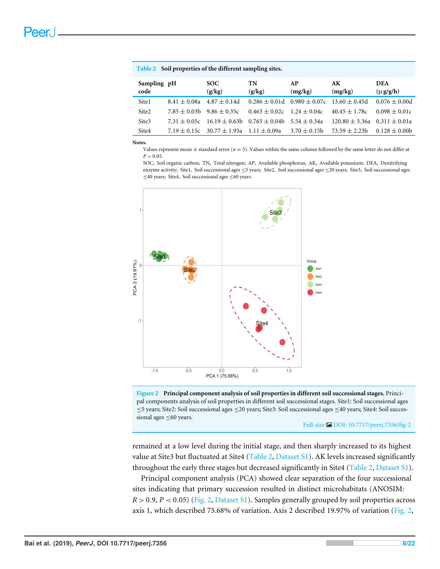| <u>rable</u> 2 Son properties of the uniterent sampling sites. |                  |                                    |                                                                       |                                                       |                                      |                             |  |
|----------------------------------------------------------------|------------------|------------------------------------|-----------------------------------------------------------------------|-------------------------------------------------------|--------------------------------------|-----------------------------|--|
| Sampling pH<br>code                                            |                  | SOC.<br>(g/kg)                     | TN<br>(g/kg)                                                          | AP<br>(mg/kg)                                         | AK<br>(mg/kg)                        | <b>DEA</b><br>$(\mu g/g/h)$ |  |
| Site1                                                          | $8.41 \pm 0.08a$ | $4.87 \pm 0.14$ d                  |                                                                       | $0.286 \pm 0.01d$ $0.980 \pm 0.07c$ $13.60 \pm 0.45d$ |                                      | $0.076 \pm 0.00d$           |  |
| Site2                                                          |                  | $7.85 \pm 0.03b$ $9.86 \pm 0.35c$  | $0.463 \pm 0.02c$                                                     | $1.24 \pm 0.04c$                                      | $40.45 \pm 1.78c$                    | $0.098 \pm 0.01c$           |  |
| Site3                                                          |                  |                                    | 7.31 $\pm$ 0.05c 16.19 $\pm$ 0.63b 0.765 $\pm$ 0.04b 5.54 $\pm$ 0.34a |                                                       | $120.80 \pm 3.36a$ $0.311 \pm 0.01a$ |                             |  |
| Site4                                                          |                  | $7.19 \pm 0.15c$ 30.77 $\pm$ 1.93a | $1.11 \pm 0.09a$                                                      | $3.70 \pm 0.15$                                       | $73.59 \pm 2.23b$                    | $0.128 \pm 0.00b$           |  |

#### **Notes.**

Values represent mean  $\pm$  standard error ( $n = 5$ ). Values within the same column followed by the same letter do not differ at  $P < 0.05$ .

SOC, Soil organic carbon; TN, Total nitrogen; AP, Available phosphorus; AK, Available potassium; DEA, Denitrifying enzyme activity; Site1, Soil successional ages ≤5 years; Site2, Soil successional ages ≤20 years; Site3, Soil successional ages ≤40 years; Site4, Soil successional ages ≤60 years.

<span id="page-7-1"></span>

<span id="page-7-0"></span>**Table 2 Soil properties of the different sampling sites.**



Full-size [DOI: 10.7717/peerj.7356/fig-2](https://doi.org/10.7717/peerj.7356/fig-2)

remained at a low level during the initial stage, and then sharply increased to its highest value at Site3 but fluctuated at Site4 [\(Table 2,](#page-7-0) [Dataset S1\)](http://dx.doi.org/10.7717/peerj.7356#supp-1). AK levels increased significantly throughout the early three stages but decreased significantly in Site4 [\(Table 2,](#page-7-0) [Dataset S1\)](http://dx.doi.org/10.7717/peerj.7356#supp-1).

Principal component analysis (PCA) showed clear separation of the four successional sites indicating that primary succession resulted in distinct microhabitats (ANOSIM:  $R > 0.9$ ,  $P < 0.05$ ) [\(Fig. 2,](#page-7-1) [Dataset S1\)](http://dx.doi.org/10.7717/peerj.7356#supp-1). Samples generally grouped by soil properties across axis 1, which described 75.68% of variation. Axis 2 described 19.97% of variation [\(Fig. 2,](#page-7-1)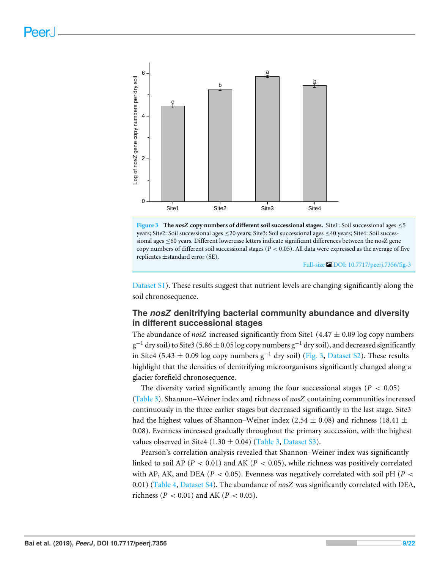<span id="page-8-0"></span>

**Figure 3 The** *nosZ* **copy numbers of different soil successional stages.** Site1: Soil successional ages ≤5 years; Site2: Soil successional ages ≤20 years; Site3: Soil successional ages ≤40 years; Site4: Soil successional ages ≤60 years. Different lowercase letters indicate significant differences between the nosZ gene copy numbers of different soil successional stages (*P* < 0.05). All data were expressed as the average of five replicates ±standard error (SE).

Full-size [DOI: 10.7717/peerj.7356/fig-3](https://doi.org/10.7717/peerj.7356/fig-3)

[Dataset S1\)](http://dx.doi.org/10.7717/peerj.7356#supp-1). These results suggest that nutrient levels are changing significantly along the soil chronosequence.

## **The** *nosZ* **denitrifying bacterial community abundance and diversity in different successional stages**

The abundance of *nosZ* increased significantly from Site1 (4.47  $\pm$  0.09 log copy numbers  $\rm g^{-1}$  dry soil) to Site3 (5.86  $\pm$  0.05 log copy numbers  $\rm g^{-1}$  dry soil), and decreased significantly in Site4 (5.43  $\pm$  0.09 log copy numbers g<sup>-1</sup> dry soil) [\(Fig. 3,](#page-8-0) [Dataset S2\)](http://dx.doi.org/10.7717/peerj.7356#supp-2). These results highlight that the densities of denitrifying microorganisms significantly changed along a glacier forefield chronosequence.

The diversity varied significantly among the four successional stages ( $P < 0.05$ ) [\(Table 3\)](#page-9-0). Shannon–Weiner index and richness of *nosZ* containing communities increased continuously in the three earlier stages but decreased significantly in the last stage. Site3 had the highest values of Shannon–Weiner index (2.54  $\pm$  0.08) and richness (18.41  $\pm$ 0.08). Evenness increased gradually throughout the primary succession, with the highest values observed in Site4 (1.30  $\pm$  0.04) [\(Table 3,](#page-9-0) [Dataset S3\)](http://dx.doi.org/10.7717/peerj.7356#supp-3).

Pearson's correlation analysis revealed that Shannon–Weiner index was significantly linked to soil AP ( $P < 0.01$ ) and AK ( $P < 0.05$ ), while richness was positively correlated with AP, AK, and DEA ( $P < 0.05$ ). Evenness was negatively correlated with soil pH ( $P <$ 0.01) [\(Table 4,](#page-9-1) [Dataset S4\)](http://dx.doi.org/10.7717/peerj.7356#supp-4). The abundance of *nosZ* was significantly correlated with DEA, richness (*P* < 0.01) and AK (*P* < 0.05).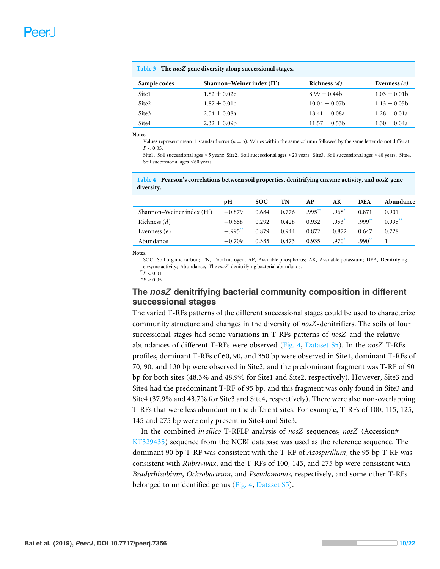| Sample codes | Shannon-Weiner index (H') | Richness $(d)$    | Evenness $(e)$   |  |  |  |
|--------------|---------------------------|-------------------|------------------|--|--|--|
| Site1        | $1.82 \pm 0.02c$          | $8.99 \pm 0.44$   | $1.03 \pm 0.01$  |  |  |  |
| Site2        | $1.87 \pm 0.01c$          | $10.04 \pm 0.07$  | $1.13 \pm 0.05$  |  |  |  |
| Site3        | $2.54 \pm 0.08a$          | $18.41 \pm 0.08a$ | $1.28 \pm 0.01a$ |  |  |  |
| Site4        | $2.32 \pm 0.09$           | $11.57 \pm 0.53b$ | $1.30 \pm 0.04a$ |  |  |  |

<span id="page-9-0"></span>**Table 3 The** *nosZ* **gene diversity along successional stages.**

#### **Notes.**

Values represent mean  $\pm$  standard error ( $n = 5$ ). Values within the same column followed by the same letter do not differ at  $P < 0.05$ .

Site1, Soil successional ages ≤5 years; Site2, Soil successional ages ≤20 years; Site3, Soil successional ages ≤40 years; Site4, Soil successional ages ≤60 years.

<span id="page-9-1"></span>**Table 4 Pearson's correlations between soil properties, denitrifying enzyme activity, and** *nosZ* **gene diversity.**

|                           | pH       | <b>SOC</b> | TN    | AP        | AК                  | <b>DEA</b>    | Abundance             |
|---------------------------|----------|------------|-------|-----------|---------------------|---------------|-----------------------|
| Shannon–Weiner index (H') | $-0.879$ | 0.684      | 0.776 | $.995***$ | $.968$ <sup>*</sup> | 0.871         | 0.901                 |
| Richness $(d)$            | $-0.658$ | 0.292      | 0.428 | 0.932     | $.953$ <sup>*</sup> | .999'''       | $0.995$ <sup>**</sup> |
| Evenness $(e)$            | $-.995"$ | 0.879      | 0.944 | 0.872     | 0.872               | 0.647         | 0.728                 |
| Abundance                 | $-0.709$ | 0.335      | 0.473 | 0.935     | $.970^{\circ}$      | $.990^{\ast}$ |                       |

**Notes.**

SOC, Soil organic carbon; TN, Total nitrogen; AP, Available phosphorus; AK, Available potassium; DEA, Denitrifying enzyme activity; Abundance, The *nosZ*-denitrifying bacterial abundance.

<span id="page-9-3"></span><span id="page-9-2"></span> $*$ <sup>\*</sup> $P < 0.01$  $*P < 0.05$ 

## **The** *nosZ* **denitrifying bacterial community composition in different successional stages**

The varied T-RFs patterns of the different successional stages could be used to characterize community structure and changes in the diversity of *nosZ*-denitrifiers. The soils of four successional stages had some variations in T-RFs patterns of *nosZ* and the relative abundances of different T-RFs were observed [\(Fig. 4,](#page-10-0) [Dataset S5\)](http://dx.doi.org/10.7717/peerj.7356#supp-5). In the *nosZ* T-RFs profiles, dominant T-RFs of 60, 90, and 350 bp were observed in Site1, dominant T-RFs of 70, 90, and 130 bp were observed in Site2, and the predominant fragment was T-RF of 90 bp for both sites (48.3% and 48.9% for Site1 and Site2, respectively). However, Site3 and Site4 had the predominant T-RF of 95 bp, and this fragment was only found in Site3 and Site4 (37.9% and 43.7% for Site3 and Site4, respectively). There were also non-overlapping T-RFs that were less abundant in the different sites. For example, T-RFs of 100, 115, 125, 145 and 275 bp were only present in Site4 and Site3.

In the combined *in silico* T-RFLP analysis of *nosZ* sequences, *nosZ* (Accession# [KT329435\)](https://www.ncbi.nlm.nih.gov/nucleotide?term=KT329435) sequence from the NCBI database was used as the reference sequence. The dominant 90 bp T-RF was consistent with the T-RF of *Azospirillum*, the 95 bp T-RF was consistent with *Rubrivivax*, and the T-RFs of 100, 145, and 275 bp were consistent with *Bradyrhizobium*, *Ochrobactrum*, and *Pseudomonas*, respectively, and some other T-RFs belonged to unidentified genus [\(Fig. 4,](#page-10-0) [Dataset S5\)](http://dx.doi.org/10.7717/peerj.7356#supp-5).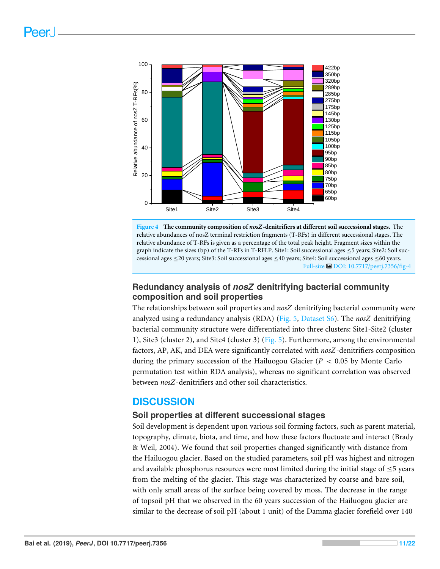<span id="page-10-0"></span>



## **Redundancy analysis of** *nosZ* **denitrifying bacterial community composition and soil properties**

The relationships between soil properties and *nosZ* denitrifying bacterial community were analyzed using a redundancy analysis (RDA) [\(Fig. 5,](#page-11-0) [Dataset S6\)](http://dx.doi.org/10.7717/peerj.7356#supp-6). The *nosZ* denitrifying bacterial community structure were differentiated into three clusters: Site1-Site2 (cluster 1), Site3 (cluster 2), and Site4 (cluster 3) [\(Fig. 5\)](#page-11-0). Furthermore, among the environmental factors, AP, AK, and DEA were significantly correlated with *nosZ*-denitrifiers composition during the primary succession of the Hailuogou Glacier (*P* < 0.05 by Monte Carlo permutation test within RDA analysis), whereas no significant correlation was observed between *nosZ*-denitrifiers and other soil characteristics.

## **DISCUSSION**

## **Soil properties at different successional stages**

Soil development is dependent upon various soil forming factors, such as parent material, topography, climate, biota, and time, and how these factors fluctuate and interact (Brady & Weil, 2004). We found that soil properties changed significantly with distance from the Hailuogou glacier. Based on the studied parameters, soil pH was highest and nitrogen and available phosphorus resources were most limited during the initial stage of  $\leq$ 5 years from the melting of the glacier. This stage was characterized by coarse and bare soil, with only small areas of the surface being covered by moss. The decrease in the range of topsoil pH that we observed in the 60 years succession of the Hailuogou glacier are similar to the decrease of soil pH (about 1 unit) of the Damma glacier forefield over 140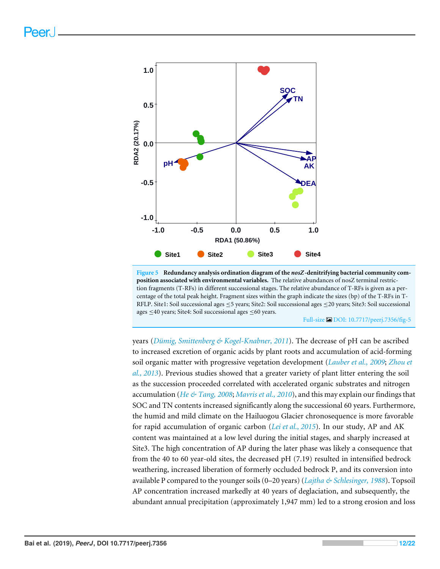<span id="page-11-0"></span>

**Figure 5 Redundancy analysis ordination diagram of the** *nosZ***-denitrifying bacterial community composition associated with environmental variables.** The relative abundances of nosZ terminal restriction fragments (T-RFs) in different successional stages. The relative abundance of T-RFs is given as a percentage of the total peak height. Fragment sizes within the graph indicate the sizes (bp) of the T-RFs in T-RFLP. Site1: Soil successional ages ≤5 years; Site2: Soil successional ages ≤20 years; Site3: Soil successional ages ≤40 years; Site4: Soil successional ages ≤60 years.

Full-size [DOI: 10.7717/peerj.7356/fig-5](https://doi.org/10.7717/peerj.7356/fig-5)

years (*[Dümig, Smittenberg & Kogel-Knabner, 2011](#page-17-7)*). The decrease of pH can be ascribed to increased excretion of organic acids by plant roots and accumulation of acid-forming soil organic matter with progressive vegetation development (*[Lauber et al.,](#page-18-7) [2009](#page-18-7)*; *[Zhou et](#page-21-1) [al., 2013](#page-21-1)*). Previous studies showed that a greater variety of plant litter entering the soil as the succession proceeded correlated with accelerated organic substrates and nitrogen accumulation (*[He & Tang, 2008](#page-17-4)*; *[Mavris et al., 2010](#page-18-8)*), and this may explain our findings that SOC and TN contents increased significantly along the successional 60 years. Furthermore, the humid and mild climate on the Hailuogou Glacier chronosequence is more favorable for rapid accumulation of organic carbon (*[Lei et al., 2015](#page-18-5)*). In our study, AP and AK content was maintained at a low level during the initial stages, and sharply increased at Site3. The high concentration of AP during the later phase was likely a consequence that from the 40 to 60 year-old sites, the decreased pH (7.19) resulted in intensified bedrock weathering, increased liberation of formerly occluded bedrock P, and its conversion into available P compared to the younger soils (0–20 years) (*[Lajtha & Schlesinger, 1988](#page-18-9)*). Topsoil AP concentration increased markedly at 40 years of deglaciation, and subsequently, the abundant annual precipitation (approximately 1,947 mm) led to a strong erosion and loss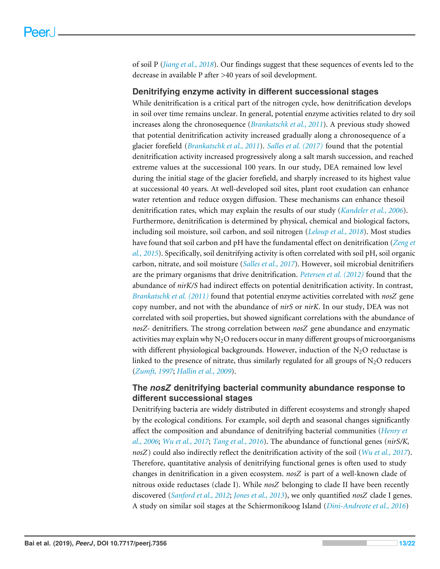of soil P (*[Jiang et al., 2018](#page-18-1)*). Our findings suggest that these sequences of events led to the decrease in available P after >40 years of soil development.

### **Denitrifying enzyme activity in different successional stages**

While denitrification is a critical part of the nitrogen cycle, how denitrification develops in soil over time remains unclear. In general, potential enzyme activities related to dry soil increases along the chronosequence (*[Brankatschk et al., 2011](#page-16-2)*). A previous study showed that potential denitrification activity increased gradually along a chronosequence of a glacier forefield (*[Brankatschk et al., 2011](#page-16-2)*). *[Salles et al. \(2017\)](#page-19-8)* found that the potential denitrification activity increased progressively along a salt marsh succession, and reached extreme values at the successional 100 years. In our study, DEA remained low level during the initial stage of the glacier forefield, and sharply increased to its highest value at successional 40 years. At well-developed soil sites, plant root exudation can enhance water retention and reduce oxygen diffusion. These mechanisms can enhance thesoil denitrification rates, which may explain the results of our study (*[Kandeler et al., 2006](#page-18-3)*). Furthermore, denitrification is determined by physical, chemical and biological factors, including soil moisture, soil carbon, and soil nitrogen (*[Leloup et al., 2018](#page-18-10)*). Most studies have found that soil carbon and pH have the fundamental effect on denitrification (*[Zeng et](#page-20-6) [al., 2015](#page-20-6)*). Specifically, soil denitrifying activity is often correlated with soil pH, soil organic carbon, nitrate, and soil moisture (*[Salles et al., 2017](#page-19-8)*). However, soil microbial denitrifiers are the primary organisms that drive denitrification. *[Petersen et al. \(2012\)](#page-19-9)* found that the abundance of *nirK/S* had indirect effects on potential denitrification activity. In contrast, *[Brankatschk et al. \(2011\)](#page-16-2)* found that potential enzyme activities correlated with *nosZ* gene copy number, and not with the abundance of *nirS* or *nirK*. In our study, DEA was not correlated with soil properties, but showed significant correlations with the abundance of *nosZ-* denitrifiers. The strong correlation between *nosZ* gene abundance and enzymatic activities may explain why  $N_2O$  reducers occur in many different groups of microorganisms with different physiological backgrounds. However, induction of the  $N_2O$  reductase is linked to the presence of nitrate, thus similarly regulated for all groups of  $N_2O$  reducers (*[Zumft, 1997](#page-21-0)*; *[Hallin et al., 2009](#page-17-8)*).

## **The** *nosZ* **denitrifying bacterial community abundance response to different successional stages**

Denitrifying bacteria are widely distributed in different ecosystems and strongly shaped by the ecological conditions. For example, soil depth and seasonal changes significantly affect the composition and abundance of denitrifying bacterial communities (*[Henry et](#page-17-9) [al., 2006](#page-17-9)*; *[Wu et al., 2017](#page-20-7)*; *[Tang et al., 2016](#page-20-8)*). The abundance of functional genes (*nirS/K, nosZ*) could also indirectly reflect the denitrification activity of the soil (*[Wu et al., 2017](#page-20-7)*). Therefore, quantitative analysis of denitrifying functional genes is often used to study changes in denitrification in a given ecosystem. *nosZ* is part of a well-known clade of nitrous oxide reductases (clade I). While *nosZ* belonging to clade II have been recently discovered (*[Sanford et al., 2012](#page-19-10)*; *[Jones et al., 2013](#page-18-11)*), we only quantified *nosZ* clade I genes. A study on similar soil stages at the Schiermonikoog Island (*[Dini-Andreote et al., 2016](#page-17-5)*)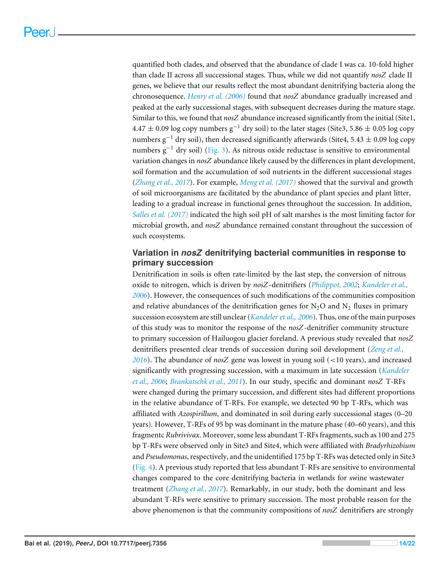quantified both clades, and observed that the abundance of clade I was ca. 10-fold higher than clade II across all successional stages. Thus, while we did not quantify *nosZ* clade II genes, we believe that our results reflect the most abundant denitrifying bacteria along the chronosequence. *[Henry et al. \(2006\)](#page-17-9)* found that *nosZ* abundance gradually increased and peaked at the early successional stages, with subsequent decreases during the mature stage. Similar to this, we found that *nosZ* abundance increased significantly from the initial (Site1,  $4.47 \pm 0.09$  log copy numbers g<sup>-1</sup> dry soil) to the later stages (Site3, 5.86  $\pm$  0.05 log copy numbers  $g^{-1}$  dry soil), then decreased significantly afterwards (Site4, 5.43  $\pm$  0.09 log copy numbers  $g^{-1}$  dry soil) [\(Fig. 3\)](#page-8-0). As nitrous oxide reductase is sensitive to environmental variation changes in *nosZ* abundance likely caused by the differences in plant development, soil formation and the accumulation of soil nutrients in the different successional stages (*[Zhang et al., 2017](#page-21-3)*). For example, *[Meng et al. \(2017\)](#page-18-12)* showed that the survival and growth of soil microorganisms are facilitated by the abundance of plant species and plant litter, leading to a gradual increase in functional genes throughout the succession. In addition, *[Salles et al. \(2017\)](#page-19-8)* indicated the high soil pH of salt marshes is the most limiting factor for microbial growth, and *nosZ* abundance remained constant throughout the succession of such ecosystems.

## **Variation in** *nosZ* **denitrifying bacterial communities in response to primary succession**

Denitrification in soils is often rate-limited by the last step, the conversion of nitrous oxide to nitrogen, which is driven by *nosZ*-denitrifiers (*[Philippot, 2002](#page-19-6)*; *[Kandeler et al.,](#page-18-3) [2006](#page-18-3)*). However, the consequences of such modifications of the communities composition and relative abundances of the denitrification genes for  $N_2O$  and  $N_2$  fluxes in primary succession ecosystem are still unclear (*[Kandeler et al., 2006](#page-18-3)*). Thus, one of the main purposes of this study was to monitor the response of the *nosZ*-denitrifier community structure to primary succession of Hailuogou glacier foreland. A previous study revealed that *nosZ* denitrifiers presented clear trends of succession during soil development (*[Zeng et al.,](#page-20-9) [2016](#page-20-9)*). The abundance of *nosZ* gene was lowest in young soil (<10 years), and increased significantly with progressing succession, with a maximum in late succession (*[Kandeler](#page-18-3) [et al., 2006](#page-18-3)*; *[Brankatschk et al., 2011](#page-16-2)*). In our study, specific and dominant *nosZ* T-RFs were changed during the primary succession, and different sites had different proportions in the relative abundance of T-RFs. For example, we detected 90 bp T-RFs, which was affiliated with *Azospirillum*, and dominated in soil during early successional stages (0–20 years)*.* However, T-RFs of 95 bp was dominant in the mature phase (40–60 years), and this fragmentc *Rubrivivax*. Moreover, some less abundant T-RFs fragments, such as 100 and 275 bp T-RFs were observed only in Site3 and Site4, which were affiliated with *Bradyrhizobium* and *Pseudomonas*, respectively, and the unidentified 175 bp T-RFs was detected only in Site3 [\(Fig. 4\)](#page-10-0). A previous study reported that less abundant T-RFs are sensitive to environmental changes compared to the core denitrifying bacteria in wetlands for swine wastewater treatment (*[Zhang et al., 2017](#page-21-3)*). Remarkably, in our study, both the dominant and less abundant T-RFs were sensitive to primary succession. The most probable reason for the above phenomenon is that the community compositions of *nosZ* denitrifiers are strongly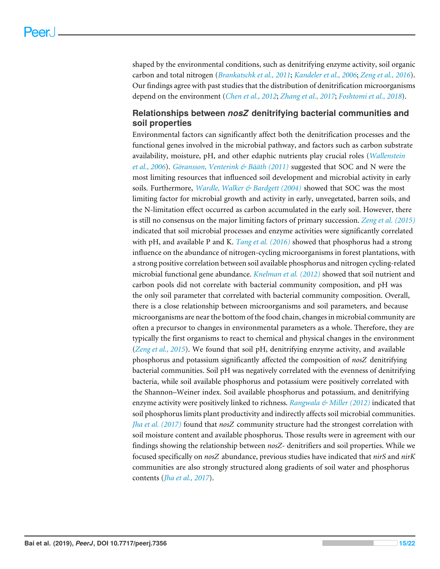shaped by the environmental conditions, such as denitrifying enzyme activity, soil organic carbon and total nitrogen (*[Brankatschk et al., 2011](#page-16-2)*; *[Kandeler et al., 2006](#page-18-3)*; *[Zeng et al., 2016](#page-20-9)*). Our findings agree with past studies that the distribution of denitrification microorganisms depend on the environment (*[Chen et al., 2012](#page-16-7)*; *[Zhang et al., 2017](#page-21-3)*; *[Foshtomi et al., 2018](#page-17-10)*).

## **Relationships between** *nosZ* **denitrifying bacterial communities and soil properties**

Environmental factors can significantly affect both the denitrification processes and the functional genes involved in the microbial pathway, and factors such as carbon substrate availability, moisture, pH, and other edaphic nutrients play crucial roles (*[Wallenstein](#page-20-10) [et al., 2006](#page-20-10)*). *[Göransson, Venterink & Bääth \(2011\)](#page-17-11)* suggested that SOC and N were the most limiting resources that influenced soil development and microbial activity in early soils. Furthermore, *[Wardle, Walker & Bardgett \(2004\)](#page-20-11)* showed that SOC was the most limiting factor for microbial growth and activity in early, unvegetated, barren soils, and the N-limitation effect occurred as carbon accumulated in the early soil. However, there is still no consensus on the major limiting factors of primary succession. *[Zeng et al. \(2015\)](#page-20-6)* indicated that soil microbial processes and enzyme activities were significantly correlated with pH, and available P and K. *[Tang et al. \(2016\)](#page-20-8)* showed that phosphorus had a strong influence on the abundance of nitrogen-cycling microorganisms in forest plantations, with a strong positive correlation between soil available phosphorus and nitrogen cycling-related microbial functional gene abundance. *[Knelman et al. \(2012\)](#page-18-0)* showed that soil nutrient and carbon pools did not correlate with bacterial community composition, and pH was the only soil parameter that correlated with bacterial community composition. Overall, there is a close relationship between microorganisms and soil parameters, and because microorganisms are near the bottom of the food chain, changes in microbial community are often a precursor to changes in environmental parameters as a whole. Therefore, they are typically the first organisms to react to chemical and physical changes in the environment (*[Zeng et al., 2015](#page-20-6)*). We found that soil pH, denitrifying enzyme activity, and available phosphorus and potassium significantly affected the composition of *nosZ* denitrifying bacterial communities. Soil pH was negatively correlated with the evenness of denitrifying bacteria, while soil available phosphorus and potassium were positively correlated with the Shannon–Weiner index. Soil available phosphorus and potassium, and denitrifying enzyme activity were positively linked to richness. *[Rangwala & Miller \(2012\)](#page-19-11)* indicated that soil phosphorus limits plant productivity and indirectly affects soil microbial communities. *[Jha et al. \(2017\)](#page-17-12)* found that *nosZ* community structure had the strongest correlation with soil moisture content and available phosphorus. Those results were in agreement with our findings showing the relationship between *nosZ-* denitrifiers and soil properties. While we focused specifically on *nosZ* abundance, previous studies have indicated that *nirS* and *nirK* communities are also strongly structured along gradients of soil water and phosphorus contents (*[Jha et al., 2017](#page-17-12)*).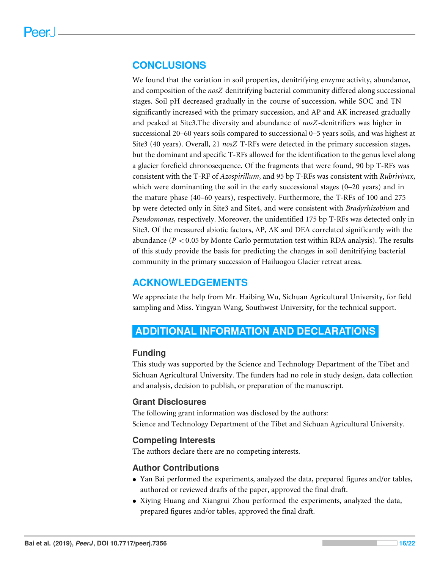## **CONCLUSIONS**

We found that the variation in soil properties, denitrifying enzyme activity, abundance, and composition of the *nosZ* denitrifying bacterial community differed along successional stages. Soil pH decreased gradually in the course of succession, while SOC and TN significantly increased with the primary succession, and AP and AK increased gradually and peaked at Site3.The diversity and abundance of *nosZ*-denitrifiers was higher in successional 20–60 years soils compared to successional 0–5 years soils, and was highest at Site3 (40 years). Overall, 21 *nosZ* T-RFs were detected in the primary succession stages, but the dominant and specific T-RFs allowed for the identification to the genus level along a glacier forefield chronosequence. Of the fragments that were found, 90 bp T-RFs was consistent with the T-RF of *Azospirillum*, and 95 bp T-RFs was consistent with *Rubrivivax*, which were dominanting the soil in the early successional stages (0–20 years) and in the mature phase (40–60 years), respectively. Furthermore, the T-RFs of 100 and 275 bp were detected only in Site3 and Site4, and were consistent with *Bradyrhizobium* and *Pseudomonas*, respectively. Moreover, the unidentified 175 bp T-RFs was detected only in Site3. Of the measured abiotic factors, AP, AK and DEA correlated significantly with the abundance ( $P < 0.05$  by Monte Carlo permutation test within RDA analysis). The results of this study provide the basis for predicting the changes in soil denitrifying bacterial community in the primary succession of Hailuogou Glacier retreat areas.

## **ACKNOWLEDGEMENTS**

We appreciate the help from Mr. Haibing Wu, Sichuan Agricultural University, for field sampling and Miss. Yingyan Wang, Southwest University, for the technical support.

## <span id="page-15-0"></span>**ADDITIONAL INFORMATION AND DECLARATIONS**

## **Funding**

This study was supported by the Science and Technology Department of the Tibet and Sichuan Agricultural University. The funders had no role in study design, data collection and analysis, decision to publish, or preparation of the manuscript.

## **Grant Disclosures**

The following grant information was disclosed by the authors: Science and Technology Department of the Tibet and Sichuan Agricultural University.

#### **Competing Interests**

The authors declare there are no competing interests.

### **Author Contributions**

- [Yan Bai](#page-0-4) performed the experiments, analyzed the data, prepared figures and/or tables, authored or reviewed drafts of the paper, approved the final draft.
- [Xiying Huang](#page-0-5) and [Xiangrui Zhou](#page-0-6) performed the experiments, analyzed the data, prepared figures and/or tables, approved the final draft.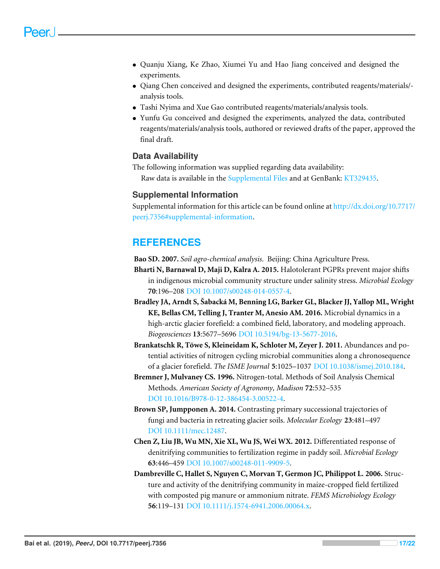- [Quanju Xiang,](#page-0-7) [Ke Zhao,](#page-0-8) [Xiumei Yu](#page-0-9) and [Hao Jiang](#page-0-10) conceived and designed the experiments.
- [Qiang Chen](#page-0-11) conceived and designed the experiments, contributed reagents/materials/ analysis tools.
- [Tashi Nyima](#page-0-12) and [Xue Gao](#page-0-13) contributed reagents/materials/analysis tools.
- [Yunfu Gu](#page-0-14) conceived and designed the experiments, analyzed the data, contributed reagents/materials/analysis tools, authored or reviewed drafts of the paper, approved the final draft.

## **Data Availability**

The following information was supplied regarding data availability: Raw data is available in the [Supplemental Files](http://dx.doi.org/10.7717/peerj.7356#supplemental-information) and at GenBank: [KT329435.](https://www.ncbi.nlm.nih.gov/nucleotide?term=KT329435)

## **Supplemental Information**

Supplemental information for this article can be found online at [http://dx.doi.org/10.7717/](http://dx.doi.org/10.7717/peerj.7356#supplemental-information) [peerj.7356#supplemental-information.](http://dx.doi.org/10.7717/peerj.7356#supplemental-information)

## **REFERENCES**

<span id="page-16-4"></span>**Bao SD. 2007.** *Soil agro-chemical analysis*. Beijing: China Agriculture Press.

- <span id="page-16-6"></span>**Bharti N, Barnawal D, Maji D, Kalra A. 2015.** Halotolerant PGPRs prevent major shifts in indigenous microbial community structure under salinity stress. *Microbial Ecology* **70**:196–208 [DOI 10.1007/s00248-014-0557-4.](http://dx.doi.org/10.1007/s00248-014-0557-4)
- <span id="page-16-0"></span>**Bradley JA, Arndt S, Šabacká M, Benning LG, Barker GL, Blacker JJ, Yallop ML, Wright KE, Bellas CM, Telling J, Tranter M, Anesio AM. 2016.** Microbial dynamics in a high-arctic glacier forefield: a combined field, laboratory, and modeling approach. *Biogeosciences* **13**:5677–5696 [DOI 10.5194/bg-13-5677-2016.](http://dx.doi.org/10.5194/bg-13-5677-2016)
- <span id="page-16-2"></span>**Brankatschk R, Töwe S, Kleineidam K, Schloter M, Zeyer J. 2011.** Abundances and potential activities of nitrogen cycling microbial communities along a chronosequence of a glacier forefield. *The ISME Journal* **5**:1025–1037 [DOI 10.1038/ismej.2010.184.](http://dx.doi.org/10.1038/ismej.2010.184)
- <span id="page-16-3"></span>**Bremner J, Mulvaney CS. 1996.** Nitrogen-total. Methods of Soil Analysis Chemical Methods. *American Society of Agronomy, Madison* **72**:532–535 [DOI 10.1016/B978-0-12-386454-3.00522-4.](http://dx.doi.org/10.1016/B978-0-12-386454-3.00522-4)
- <span id="page-16-1"></span>**Brown SP, Jumpponen A. 2014.** Contrasting primary successional trajectories of fungi and bacteria in retreating glacier soils. *Molecular Ecology* **23**:481–497 [DOI 10.1111/mec.12487.](http://dx.doi.org/10.1111/mec.12487)
- <span id="page-16-7"></span>**Chen Z, Liu JB, Wu MN, Xie XL, Wu JS, Wei WX. 2012.** Differentiated response of denitrifying communities to fertilization regime in paddy soil. *Microbial Ecology* **63**:446–459 [DOI 10.1007/s00248-011-9909-5.](http://dx.doi.org/10.1007/s00248-011-9909-5)
- <span id="page-16-5"></span>**Dambreville C, Hallet S, Nguyen C, Morvan T, Germon JC, Philippot L. 2006.** Structure and activity of the denitrifying community in maize-cropped field fertilized with composted pig manure or ammonium nitrate. *FEMS Microbiology Ecology* **56**:119–131 [DOI 10.1111/j.1574-6941.2006.00064.x.](http://dx.doi.org/10.1111/j.1574-6941.2006.00064.x)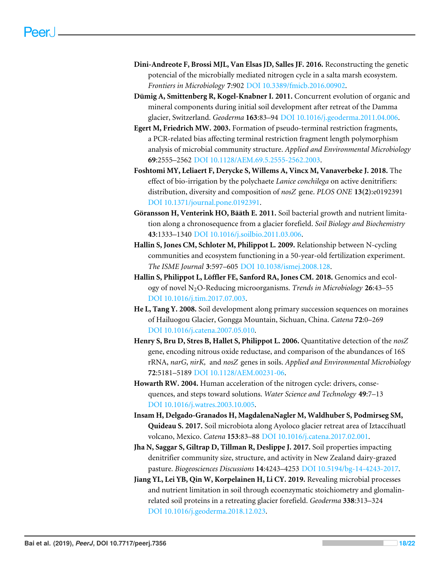- <span id="page-17-5"></span>**Dini-Andreote F, Brossi MJL, Van Elsas JD, Salles JF. 2016.** Reconstructing the genetic potencial of the microbially mediated nitrogen cycle in a salta marsh ecosystem. *Frontiers in Microbiology* **7**:902 [DOI 10.3389/fmicb.2016.00902.](http://dx.doi.org/10.3389/fmicb.2016.00902)
- <span id="page-17-7"></span>**Dümig A, Smittenberg R, Kogel-Knabner I. 2011.** Concurrent evolution of organic and mineral components during initial soil development after retreat of the Damma glacier, Switzerland. *Geoderma* **163**:83–94 [DOI 10.1016/j.geoderma.2011.04.006.](http://dx.doi.org/10.1016/j.geoderma.2011.04.006)
- <span id="page-17-6"></span>**Egert M, Friedrich MW. 2003.** Formation of pseudo-terminal restriction fragments, a PCR-related bias affecting terminal restriction fragment length polymorphism analysis of microbial community structure. *Applied and Environmental Microbiology* **69**:2555–2562 [DOI 10.1128/AEM.69.5.2555-2562.2003.](http://dx.doi.org/10.1128/AEM.69.5.2555-2562.2003)
- <span id="page-17-10"></span>**Foshtomi MY, Leliaert F, Derycke S, Willems A, Vincx M, Vanaverbeke J. 2018.** The effect of bio-irrigation by the polychaete *Lanice conchilega* on active denitrifiers: distribution, diversity and composition of *nosZ* gene. *PLOS ONE* **13(2)**:e0192391 [DOI 10.1371/journal.pone.0192391.](http://dx.doi.org/10.1371/journal.pone.0192391)
- <span id="page-17-11"></span>**Göransson H, Venterink HO, Bääth E. 2011.** Soil bacterial growth and nutrient limitation along a chronosequence from a glacier forefield. *Soil Biology and Biochemistry* **43**:1333–1340 [DOI 10.1016/j.soilbio.2011.03.006.](http://dx.doi.org/10.1016/j.soilbio.2011.03.006)
- <span id="page-17-8"></span>**Hallin S, Jones CM, Schloter M, Philippot L. 2009.** Relationship between N-cycling communities and ecosystem functioning in a 50-year-old fertilization experiment. *The ISME Journal* **3**:597–605 [DOI 10.1038/ismej.2008.128.](http://dx.doi.org/10.1038/ismej.2008.128)
- <span id="page-17-3"></span>**Hallin S, Philippot L, Löffler FE, Sanford RA, Jones CM. 2018.** Genomics and ecology of novel N2O-Reducing microorganisms. *Trends in Microbiology* **26**:43–55 [DOI 10.1016/j.tim.2017.07.003.](http://dx.doi.org/10.1016/j.tim.2017.07.003)
- <span id="page-17-4"></span>**He L, Tang Y. 2008.** Soil development along primary succession sequences on moraines of Hailuogou Glacier, Gongga Mountain, Sichuan, China. *Catena* **72**:0–269 [DOI 10.1016/j.catena.2007.05.010.](http://dx.doi.org/10.1016/j.catena.2007.05.010)
- <span id="page-17-9"></span>**Henry S, Bru D, Stres B, Hallet S, Philippot L. 2006.** Quantitative detection of the *nosZ* gene, encoding nitrous oxide reductase, and comparison of the abundances of 16S rRNA, *narG*, *nirK,* and *nosZ* genes in soils. *Applied and Environmental Microbiology* **72**:5181–5189 [DOI 10.1128/AEM.00231-06.](http://dx.doi.org/10.1128/AEM.00231-06)
- <span id="page-17-2"></span>**Howarth RW. 2004.** Human acceleration of the nitrogen cycle: drivers, consequences, and steps toward solutions. *Water Science and Technology* **49**:7–13 [DOI 10.1016/j.watres.2003.10.005.](http://dx.doi.org/10.1016/j.watres.2003.10.005)
- <span id="page-17-1"></span>**Insam H, Delgado-Granados H, MagdalenaNagler M, Waldhuber S, Podmirseg SM, Quideau S. 2017.** Soil microbiota along Ayoloco glacier retreat area of Iztaccíhuatl volcano, Mexico. *Catena* **153**:83–88 [DOI 10.1016/j.catena.2017.02.001.](http://dx.doi.org/10.1016/j.catena.2017.02.001)
- <span id="page-17-12"></span>**Jha N, Saggar S, Giltrap D, Tillman R, Deslippe J. 2017.** Soil properties impacting denitrifier community size, structure, and activity in New Zealand dairy-grazed pasture. *Biogeosciences Discussions* **14**:4243–4253 [DOI 10.5194/bg-14-4243-2017.](http://dx.doi.org/10.5194/bg-14-4243-2017)
- <span id="page-17-0"></span>**Jiang YL, Lei YB, Qin W, Korpelainen H, Li CY. 2019.** Revealing microbial processes and nutrient limitation in soil through ecoenzymatic stoichiometry and glomalinrelated soil proteins in a retreating glacier forefield. *Geoderma* **338**:313–324 [DOI 10.1016/j.geoderma.2018.12.023.](http://dx.doi.org/10.1016/j.geoderma.2018.12.023)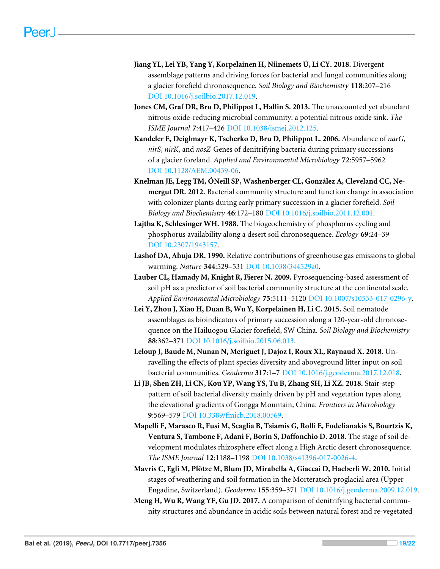- <span id="page-18-1"></span>**Jiang YL, Lei YB, Yang Y, Korpelainen H, Niinemets Ü, Li CY. 2018.** Divergent assemblage patterns and driving forces for bacterial and fungal communities along a glacier forefield chronosequence. *Soil Biology and Biochemistry* **118**:207–216 [DOI 10.1016/j.soilbio.2017.12.019.](http://dx.doi.org/10.1016/j.soilbio.2017.12.019)
- <span id="page-18-11"></span>**Jones CM, Graf DR, Bru D, Philippot L, Hallin S. 2013.** The unaccounted yet abundant nitrous oxide-reducing microbial community: a potential nitrous oxide sink. *The ISME Journal* **7**:417–426 [DOI 10.1038/ismej.2012.125.](http://dx.doi.org/10.1038/ismej.2012.125)
- <span id="page-18-3"></span>**Kandeler E, Deiglmayr K, Tscherko D, Bru D, Philippot L. 2006.** Abundance of *narG*, *nirS*, *nirK*, and *nosZ* Genes of denitrifying bacteria during primary successions of a glacier foreland. *Applied and Environmental Microbiology* **72**:5957–5962 [DOI 10.1128/AEM.00439-06.](http://dx.doi.org/10.1128/AEM.00439-06)
- <span id="page-18-0"></span>**Knelman JE, Legg TM, ÓNeill SP, Washenberger CL, González A, Cleveland CC, Nemergut DR. 2012.** Bacterial community structure and function change in association with colonizer plants during early primary succession in a glacier forefield. *Soil Biology and Biochemistry* **46**:172–180 [DOI 10.1016/j.soilbio.2011.12.001.](http://dx.doi.org/10.1016/j.soilbio.2011.12.001)
- <span id="page-18-9"></span>**Lajtha K, Schlesinger WH. 1988.** The biogeochemistry of phosphorus cycling and phosphorus availability along a desert soil chronosequence. *Ecology* **69**:24–39 [DOI 10.2307/1943157.](http://dx.doi.org/10.2307/1943157)
- <span id="page-18-2"></span>**Lashof DA, Ahuja DR. 1990.** Relative contributions of greenhouse gas emissions to global warming. *Nature* **344**:529–531 [DOI 10.1038/344529a0.](http://dx.doi.org/10.1038/344529a0)
- <span id="page-18-7"></span>**Lauber CL, Hamady M, Knight R, Fierer N. 2009.** Pyrosequencing-based assessment of soil pH as a predictor of soil bacterial community structure at the continental scale. *Applied Environmental Microbiology* **75**:5111–5120 [DOI 10.1007/s10533-017-0296-y.](http://dx.doi.org/10.1007/s10533-017-0296-y)
- <span id="page-18-5"></span>**Lei Y, Zhou J, Xiao H, Duan B, Wu Y, Korpelainen H, Li C. 2015.** Soil nematode assemblages as bioindicators of primary succession along a 120-year-old chronosequence on the Hailuogou Glacier forefield, SW China. *Soil Biology and Biochemistry* **88**:362–371 [DOI 10.1016/j.soilbio.2015.06.013.](http://dx.doi.org/10.1016/j.soilbio.2015.06.013)
- <span id="page-18-10"></span>**Leloup J, Baude M, Nunan N, Meriguet J, Dajoz I, Roux XL, Raynaud X. 2018.** Unravelling the effects of plant species diversity and aboveground litter input on soil bacterial communities. *Geoderma* **317**:1–7 [DOI 10.1016/j.geoderma.2017.12.018.](http://dx.doi.org/10.1016/j.geoderma.2017.12.018)
- <span id="page-18-4"></span>**Li JB, Shen ZH, Li CN, Kou YP, Wang YS, Tu B, Zhang SH, Li XZ. 2018.** Stair-step pattern of soil bacterial diversity mainly driven by pH and vegetation types along the elevational gradients of Gongga Mountain, China. *Frontiers in Microbiology* **9**:569–579 [DOI 10.3389/fmicb.2018.00569.](http://dx.doi.org/10.3389/fmicb.2018.00569)
- <span id="page-18-6"></span>**Mapelli F, Marasco R, Fusi M, Scaglia B, Tsiamis G, Rolli E, Fodelianakis S, Bourtzis K, Ventura S, Tambone F, Adani F, Borin S, Daffonchio D. 2018.** The stage of soil development modulates rhizosphere effect along a High Arctic desert chronosequence. *The ISME Journal* **12**:1188–1198 [DOI 10.1038/s41396-017-0026-4.](http://dx.doi.org/10.1038/s41396-017-0026-4)
- <span id="page-18-8"></span>**Mavris C, Egli M, Plötze M, Blum JD, Mirabella A, Giaccai D, Haeberli W. 2010.** Initial stages of weathering and soil formation in the Morteratsch proglacial area (Upper Engadine, Switzerland). *Geoderma* **155**:359–371 [DOI 10.1016/j.geoderma.2009.12.019.](http://dx.doi.org/10.1016/j.geoderma.2009.12.019)
- <span id="page-18-12"></span>**Meng H, Wu R, Wang YF, Gu JD. 2017.** A comparison of denitrifying bacterial community structures and abundance in acidic soils between natural forest and re-vegetated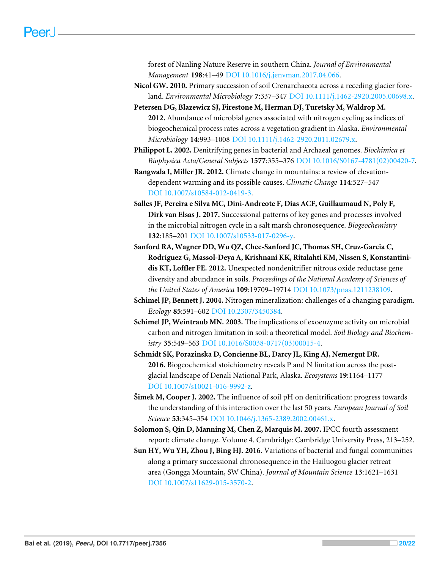forest of Nanling Nature Reserve in southern China. *Journal of Environmental Management* **198**:41–49 [DOI 10.1016/j.jenvman.2017.04.066.](http://dx.doi.org/10.1016/j.jenvman.2017.04.066)

<span id="page-19-3"></span>**Nicol GW. 2010.** Primary succession of soil Crenarchaeota across a receding glacier foreland. *Environmental Microbiology* **7**:337–347 [DOI 10.1111/j.1462-2920.2005.00698.x.](http://dx.doi.org/10.1111/j.1462-2920.2005.00698.x)

<span id="page-19-9"></span>**Petersen DG, Blazewicz SJ, Firestone M, Herman DJ, Turetsky M, Waldrop M. 2012.** Abundance of microbial genes associated with nitrogen cycling as indices of biogeochemical process rates across a vegetation gradient in Alaska. *Environmental Microbiology* **14**:993–1008 [DOI 10.1111/j.1462-2920.2011.02679.x.](http://dx.doi.org/10.1111/j.1462-2920.2011.02679.x)

<span id="page-19-6"></span>**Philippot L. 2002.** Denitrifying genes in bacterial and Archaeal genomes. *Biochimica et Biophysica Acta/General Subjects* **1577**:355–376 [DOI 10.1016/S0167-4781\(02\)00420-7.](http://dx.doi.org/10.1016/S0167-4781(02)00420-7)

<span id="page-19-11"></span>**Rangwala I, Miller JR. 2012.** Climate change in mountains: a review of elevationdependent warming and its possible causes. *Climatic Change* **114**:527–547 [DOI 10.1007/s10584-012-0419-3.](http://dx.doi.org/10.1007/s10584-012-0419-3)

<span id="page-19-8"></span>**Salles JF, Pereira e Silva MC, Dini-Andreote F, Dias ACF, Guillaumaud N, Poly F, Dirk van Elsas J. 2017.** Successional patterns of key genes and processes involved in the microbial nitrogen cycle in a salt marsh chronosequence. *Biogeochemistry* **132**:185–201 [DOI 10.1007/s10533-017-0296-y.](http://dx.doi.org/10.1007/s10533-017-0296-y)

<span id="page-19-10"></span>**Sanford RA, Wagner DD, Wu QZ, Chee-Sanford JC, Thomas SH, Cruz-Garcia C, Rodríguez G, Massol-Deya A, Krishnani KK, Ritalahti KM, Nissen S, Konstantinidis KT, Loffler FE. 2012.** Unexpected nondenitrifier nitrous oxide reductase gene diversity and abundance in soils. *Proceedings of the National Academy of Sciences of the United States of America* **109**:19709–19714 [DOI 10.1073/pnas.1211238109.](http://dx.doi.org/10.1073/pnas.1211238109)

<span id="page-19-1"></span>**Schimel JP, Bennett J. 2004.** Nitrogen mineralization: challenges of a changing paradigm. *Ecology* **85**:591–602 [DOI 10.2307/3450384.](http://dx.doi.org/10.2307/3450384)

<span id="page-19-2"></span>**Schimel JP, Weintraub MN. 2003.** The implications of exoenzyme activity on microbial carbon and nitrogen limitation in soil: a theoretical model. *Soil Biology and Biochemistry* **35**:549–563 [DOI 10.1016/S0038-0717\(03\)00015-4.](http://dx.doi.org/10.1016/S0038-0717(03)00015-4)

<span id="page-19-0"></span>**Schmidt SK, Porazinska D, Concienne BL, Darcy JL, King AJ, Nemergut DR. 2016.** Biogeochemical stoichiometry reveals P and N limitation across the postglacial landscape of Denali National Park, Alaska. *Ecosystems* **19**:1164–1177 [DOI 10.1007/s10021-016-9992-z.](http://dx.doi.org/10.1007/s10021-016-9992-z)

<span id="page-19-5"></span>**Šimek M, Cooper J. 2002.** The influence of soil pH on denitrification: progress towards the understanding of this interaction over the last 50 years. *European Journal of Soil Science* **53**:345–354 [DOI 10.1046/j.1365-2389.2002.00461.x.](http://dx.doi.org/10.1046/j.1365-2389.2002.00461.x)

<span id="page-19-4"></span>**Solomon S, Qin D, Manning M, Chen Z, Marquis M. 2007.** IPCC fourth assessment report: climate change. Volume 4. Cambridge: Cambridge University Press, 213–252.

<span id="page-19-7"></span>**Sun HY, Wu YH, Zhou J, Bing HJ. 2016.** Variations of bacterial and fungal communities along a primary successional chronosequence in the Hailuogou glacier retreat area (Gongga Mountain, SW China). *Journal of Mountain Science* **13**:1621–1631 [DOI 10.1007/s11629-015-3570-2.](http://dx.doi.org/10.1007/s11629-015-3570-2)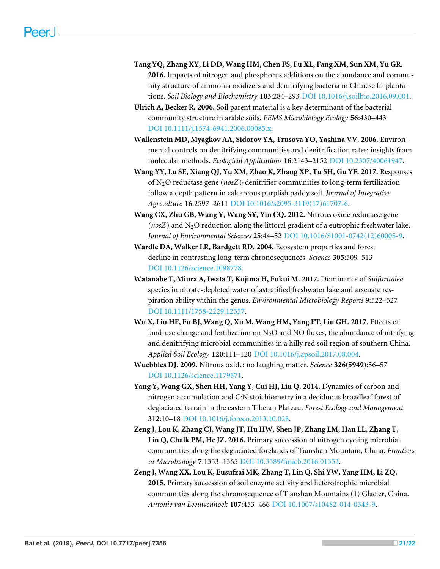- <span id="page-20-8"></span>**Tang YQ, Zhang XY, Li DD, Wang HM, Chen FS, Fu XL, Fang XM, Sun XM, Yu GR. 2016.** Impacts of nitrogen and phosphorus additions on the abundance and community structure of ammonia oxidizers and denitrifying bacteria in Chinese fir plantations. *Soil Biology and Biochemistry* **103**:284–293 [DOI 10.1016/j.soilbio.2016.09.001.](http://dx.doi.org/10.1016/j.soilbio.2016.09.001)
- <span id="page-20-5"></span>**Ulrich A, Becker R. 2006.** Soil parent material is a key determinant of the bacterial community structure in arable soils. *FEMS Microbiology Ecology* **56**:430–443 [DOI 10.1111/j.1574-6941.2006.00085.x.](http://dx.doi.org/10.1111/j.1574-6941.2006.00085.x)
- <span id="page-20-10"></span>**Wallenstein MD, Myagkov AA, Sidorov YA, Trusova YO, Yashina VV. 2006.** Environmental controls on denitrifying communities and denitrification rates: insights from molecular methods. *Ecological Applications* **16**:2143–2152 [DOI 10.2307/40061947.](http://dx.doi.org/10.2307/40061947)
- <span id="page-20-4"></span>**Wang YY, Lu SE, Xiang QJ, Yu XM, Zhao K, Zhang XP, Tu SH, Gu YF. 2017.** Responses of N2O reductase gene (*nosZ*)-denitrifier communities to long-term fertilization follow a depth pattern in calcareous purplish paddy soil. *Journal of Integrative Agriculture* **16**:2597–2611 [DOI 10.1016/s2095-3119\(17\)61707-6.](http://dx.doi.org/10.1016/s2095-3119(17)61707-6)
- <span id="page-20-1"></span>**Wang CX, Zhu GB, Wang Y, Wang SY, Yin CQ. 2012.** Nitrous oxide reductase gene  $(nosZ)$  and  $N<sub>2</sub>O$  reduction along the littoral gradient of a eutrophic freshwater lake. *Journal of Environmental Sciences* **25**:44–52 [DOI 10.1016/S1001-0742\(12\)60005-9.](http://dx.doi.org/10.1016/S1001-0742(12)60005-9)
- <span id="page-20-11"></span>**Wardle DA, Walker LR, Bardgett RD. 2004.** Ecosystem properties and forest decline in contrasting long-term chronosequences. *Science* **305**:509–513 [DOI 10.1126/science.1098778.](http://dx.doi.org/10.1126/science.1098778)
- <span id="page-20-3"></span>**Watanabe T, Miura A, Iwata T, Kojima H, Fukui M. 2017.** Dominance of *Sulfuritalea* species in nitrate-depleted water of astratified freshwater lake and arsenate respiration ability within the genus. *Environmental Microbiology Reports* **9**:522–527 [DOI 10.1111/1758-2229.12557.](http://dx.doi.org/10.1111/1758-2229.12557)
- <span id="page-20-7"></span>**Wu X, Liu HF, Fu BJ, Wang Q, Xu M, Wang HM, Yang FT, Liu GH. 2017.** Effects of land-use change and fertilization on  $N_2O$  and NO fluxes, the abundance of nitrifying and denitrifying microbial communities in a hilly red soil region of southern China. *Applied Soil Ecology* **120**:111–120 [DOI 10.1016/j.apsoil.2017.08.004.](http://dx.doi.org/10.1016/j.apsoil.2017.08.004)
- <span id="page-20-0"></span>**Wuebbles DJ. 2009.** Nitrous oxide: no laughing matter. *Science* **326(5949)**:56–57 [DOI 10.1126/science.1179571.](http://dx.doi.org/10.1126/science.1179571)
- <span id="page-20-2"></span>**Yang Y, Wang GX, Shen HH, Yang Y, Cui HJ, Liu Q. 2014.** Dynamics of carbon and nitrogen accumulation and C:N stoichiometry in a deciduous broadleaf forest of deglaciated terrain in the eastern Tibetan Plateau. *Forest Ecology and Management* **312**:10–18 [DOI 10.1016/j.foreco.2013.10.028.](http://dx.doi.org/10.1016/j.foreco.2013.10.028)
- <span id="page-20-9"></span>**Zeng J, Lou K, Zhang CJ, Wang JT, Hu HW, Shen JP, Zhang LM, Han LL, Zhang T, Lin Q, Chalk PM, He JZ. 2016.** Primary succession of nitrogen cycling microbial communities along the deglaciated forelands of Tianshan Mountain, China. *Frontiers in Microbiology* **7**:1353–1365 [DOI 10.3389/fmicb.2016.01353.](http://dx.doi.org/10.3389/fmicb.2016.01353)
- <span id="page-20-6"></span>**Zeng J, Wang XX, Lou K, Eusufzai MK, Zhang T, Lin Q, Shi YW, Yang HM, Li ZQ. 2015.** Primary succession of soil enzyme activity and heterotrophic microbial communities along the chronosequence of Tianshan Mountains (1) Glacier, China. *Antonie van Leeuwenhoek* **107**:453–466 [DOI 10.1007/s10482-014-0343-9.](http://dx.doi.org/10.1007/s10482-014-0343-9)